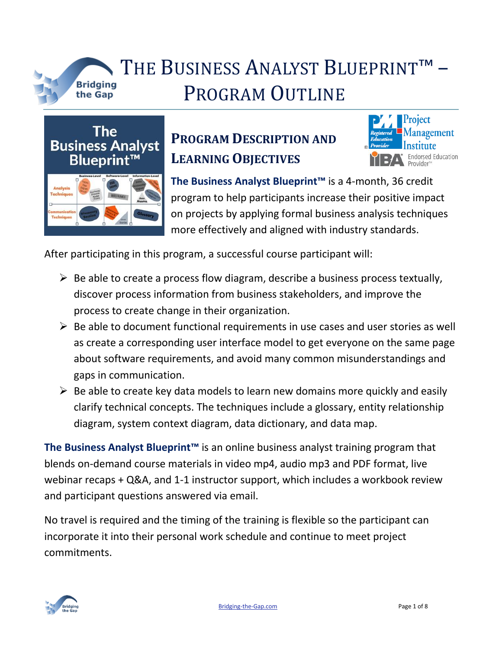

## THE BUSINESS ANALYST BLUEPRINT™ the Gap **PROGRAM OUTLINE**



### **PROGRAM DESCRIPTION AND LEARNING OBJECTIVES**



**The Business Analyst Blueprint™** is a 4-month, 36 credit program to help participants increase their positive impact on projects by applying formal business analysis techniques more effectively and aligned with industry standards.

After participating in this program, a successful course participant will:

- $\triangleright$  Be able to create a process flow diagram, describe a business process textually, discover process information from business stakeholders, and improve the process to create change in their organization.
- $\triangleright$  Be able to document functional requirements in use cases and user stories as well as create a corresponding user interface model to get everyone on the same page about software requirements, and avoid many common misunderstandings and gaps in communication.
- $\triangleright$  Be able to create key data models to learn new domains more quickly and easily clarify technical concepts. The techniques include a glossary, entity relationship diagram, system context diagram, data dictionary, and data map.

**The Business Analyst Blueprint™** is an online business analyst training program that blends on-demand course materials in video mp4, audio mp3 and PDF format, live webinar recaps + Q&A, and 1-1 instructor support, which includes a workbook review and participant questions answered via email.

No travel is required and the timing of the training is flexible so the participant can incorporate it into their personal work schedule and continue to meet project commitments.

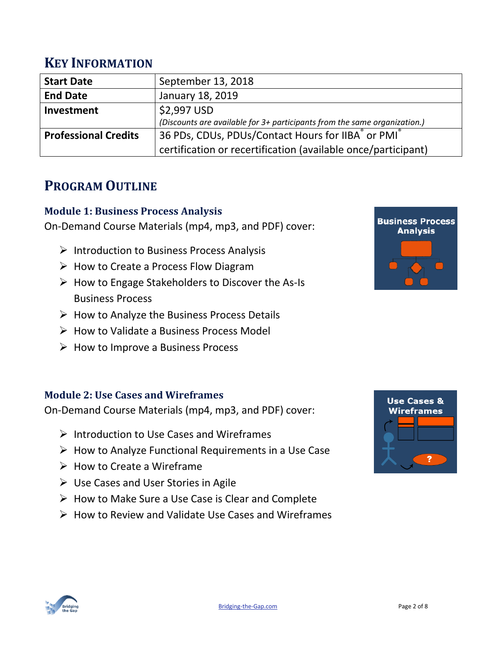### **KEY INFORMATION**

| <b>Start Date</b>           | September 13, 2018                                                        |
|-----------------------------|---------------------------------------------------------------------------|
| <b>End Date</b>             | January 18, 2019                                                          |
| Investment                  | \$2,997 USD                                                               |
|                             | (Discounts are available for 3+ participants from the same organization.) |
| <b>Professional Credits</b> | 36 PDs, CDUs, PDUs/Contact Hours for IIBA® or PMI®                        |
|                             | certification or recertification (available once/participant)             |

### **PROGRAM OUTLINE**

#### **Module 1: Business Process Analysis**

On-Demand Course Materials (mp4, mp3, and PDF) cover:

- $\triangleright$  Introduction to Business Process Analysis
- $\triangleright$  How to Create a Process Flow Diagram
- $\triangleright$  How to Engage Stakeholders to Discover the As-Is Business Process
- $\triangleright$  How to Analyze the Business Process Details
- $\triangleright$  How to Validate a Business Process Model
- $\triangleright$  How to Improve a Business Process

#### **Module 2: Use Cases and Wireframes**

On-Demand Course Materials (mp4, mp3, and PDF) cover:

- $\triangleright$  Introduction to Use Cases and Wireframes
- $\triangleright$  How to Analyze Functional Requirements in a Use Case
- $\triangleright$  How to Create a Wireframe
- $\triangleright$  Use Cases and User Stories in Agile
- $\triangleright$  How to Make Sure a Use Case is Clear and Complete
- $\triangleright$  How to Review and Validate Use Cases and Wireframes





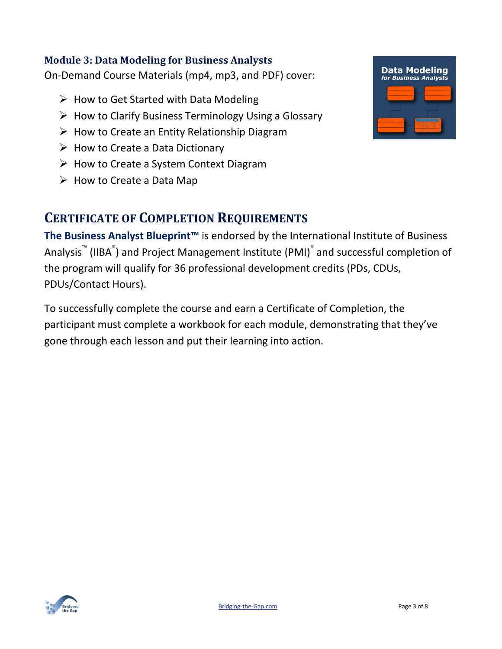#### **Module 3: Data Modeling for Business Analysts**

On-Demand Course Materials (mp4, mp3, and PDF) cover:

- $\triangleright$  How to Get Started with Data Modeling
- $\triangleright$  How to Clarify Business Terminology Using a Glossary
- $\triangleright$  How to Create an Entity Relationship Diagram
- $\triangleright$  How to Create a Data Dictionary
- $\triangleright$  How to Create a System Context Diagram
- $\triangleright$  How to Create a Data Map

### **CERTIFICATE OF COMPLETION REQUIREMENTS**

**The Business Analyst Blueprint™** is endorsed by the International Institute of Business Analysis™ (IIBA®) and Project Management Institute (PMI)® and successful completion of the program will qualify for 36 professional development credits (PDs, CDUs, PDUs/Contact Hours).

To successfully complete the course and earn a Certificate of Completion, the participant must complete a workbook for each module, demonstrating that they've gone through each lesson and put their learning into action.



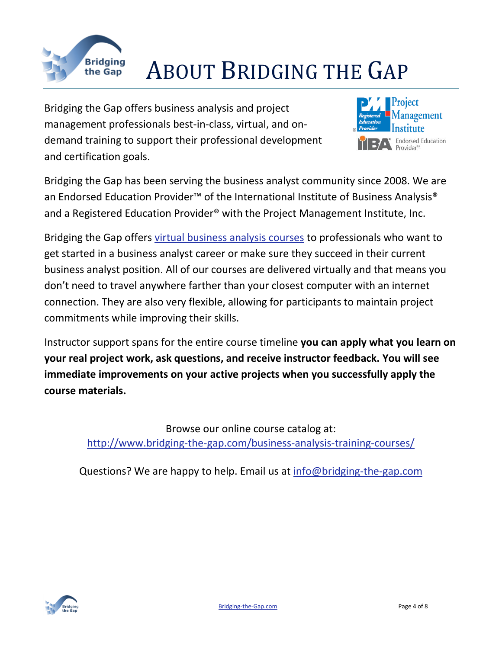

# Bridging **ABOUT BRIDGING THE GAP**

Bridging the Gap offers business analysis and project management professionals best-in-class, virtual, and ondemand training to support their professional development and certification goals.



Bridging the Gap has been serving the business analyst community since 2008. We are an Endorsed Education Provider<sup>™</sup> of the International Institute of Business Analysis<sup>®</sup> and a Registered Education Provider<sup>®</sup> with the Project Management Institute, Inc.

Bridging the Gap offers [virtual business analysis courses](http://www.bridging-the-gap.com/business-analysis-training-courses/) to professionals who want to get started in a business analyst career or make sure they succeed in their current business analyst position. All of our courses are delivered virtually and that means you don't need to travel anywhere farther than your closest computer with an internet connection. They are also very flexible, allowing for participants to maintain project commitments while improving their skills.

Instructor support spans for the entire course timeline **you can apply what you learn on your real project work, ask questions, and receive instructor feedback. You will see immediate improvements on your active projects when you successfully apply the course materials.**

> Browse our online course catalog at: <http://www.bridging-the-gap.com/business-analysis-training-courses/>

Questions? We are happy to help. Email us at [info@bridging-the-gap.com](mailto:info@bridging-the-gap.com)

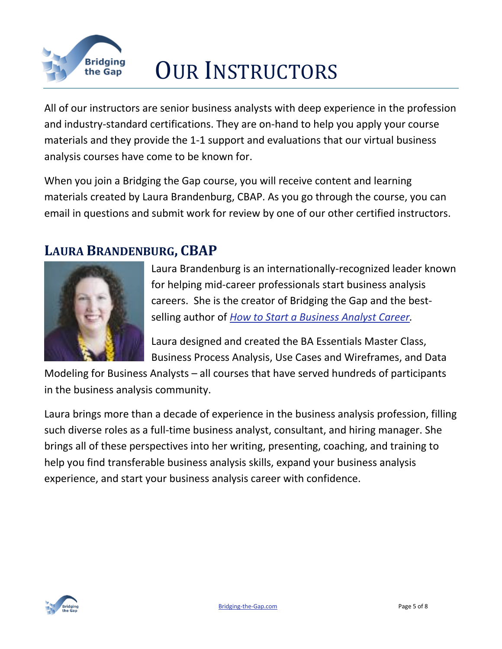

# Bridging **OUR INSTRUCTORS**

All of our instructors are senior business analysts with deep experience in the profession and industry-standard certifications. They are on-hand to help you apply your course materials and they provide the 1-1 support and evaluations that our [virtual business](http://www.bridging-the-gap.com/business-analysis-training-courses/)  [analysis courses](http://www.bridging-the-gap.com/business-analysis-training-courses/) have come to be known for.

When you join a Bridging the Gap course, you will receive content and learning materials created by Laura Brandenburg, CBAP. As you go through the course, you can email in questions and submit work for review by one of our other certified instructors.

### **LAURA BRANDENBURG, CBAP**



Laura Brandenburg is an internationally-recognized leader known for helping mid-career professionals start business analysis careers. She is the creator of Bridging the Gap and the bestselling author of *[How to Start a Business Analyst Career.](http://www.bridging-the-gap.com/become-a-business-analyst/)*

Laura designed and created the BA Essentials Master Class, Business Process Analysis, Use Cases and Wireframes, and Data

Modeling for Business Analysts – all courses that have served hundreds of participants in the business analysis community.

Laura brings more than a decade of experience in the business analysis profession, filling such diverse roles as a full-time business analyst, consultant, and hiring manager. She brings all of these perspectives into her writing, presenting, coaching, and training to help you find transferable business analysis skills, expand your business analysis experience, and start your business analysis career with confidence.

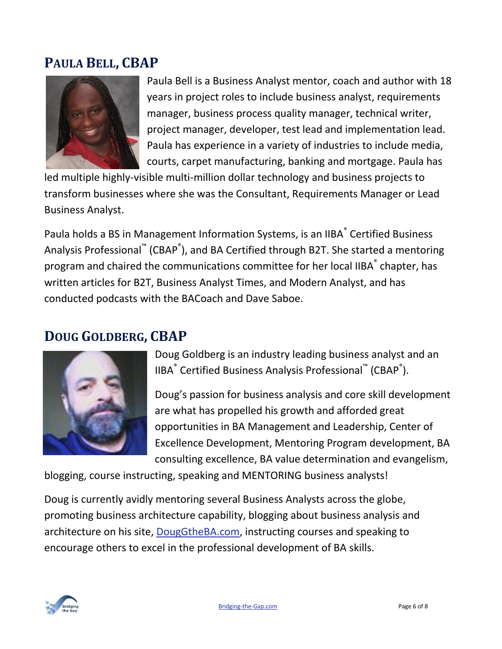### **PAULA BELL, CBAP**



Paula Bell is a Business Analyst mentor, coach and author with 18 years in project roles to include business analyst, requirements manager, business process quality manager, technical writer, project manager, developer, test lead and implementation lead. Paula has experience in a variety of industries to include media, courts, carpet manufacturing, banking and mortgage. Paula has

led multiple highly-visible multi-million dollar technology and business projects to transform businesses where she was the Consultant, Requirements Manager or Lead Business Analyst.

Paula holds a BS in Management Information Systems, is an IIBA<sup>®</sup> Certified Business Analysis Professional™ (CBAP®), and BA Certified through B2T. She started a mentoring program and chaired the communications committee for her local IIBA $\degree$  chapter, has written articles for B2T, Business Analyst Times, and Modern Analyst, and has conducted podcasts with the BACoach and Dave Saboe.

### **DOUG GOLDBERG, CBAP**



Doug Goldberg is an industry leading business analyst and an IIBA<sup>®</sup> Certified Business Analysis Professional™ (CBAP<sup>®</sup>).

Doug's passion for business analysis and core skill development are what has propelled his growth and afforded great opportunities in BA Management and Leadership, Center of Excellence Development, Mentoring Program development, BA consulting excellence, BA value determination and evangelism,

blogging, course instructing, speaking and MENTORING business analysts!

Doug is currently avidly mentoring several Business Analysts across the globe, promoting business architecture capability, blogging about business analysis and architecture on his site, [DougGtheBA.com,](http://www.douggtheba.com/) instructing courses and speaking to encourage others to excel in the professional development of BA skills.

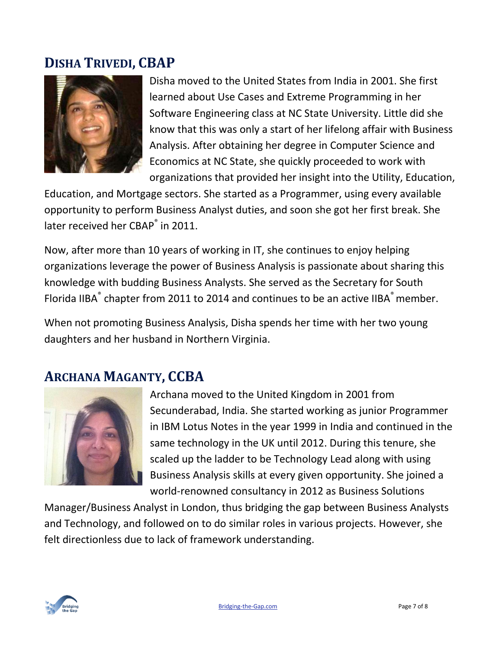### **DISHA TRIVEDI, CBAP**



Disha moved to the United States from India in 2001. She first learned about Use Cases and Extreme Programming in her Software Engineering class at NC State University. Little did she know that this was only a start of her lifelong affair with Business Analysis. After obtaining her degree in Computer Science and Economics at NC State, she quickly proceeded to work with organizations that provided her insight into the Utility, Education,

Education, and Mortgage sectors. She started as a Programmer, using every available opportunity to perform Business Analyst duties, and soon she got her first break. She later received her CBAP<sup>®</sup> in 2011.

Now, after more than 10 years of working in IT, she continues to enjoy helping organizations leverage the power of Business Analysis is passionate about sharing this knowledge with budding Business Analysts. She served as the Secretary for South Florida IIBA $^{\degree}$  chapter from 2011 to 2014 and continues to be an active IIBA $^{\degree}$  member.

When not promoting Business Analysis, Disha spends her time with her two young daughters and her husband in Northern Virginia.

### **ARCHANA MAGANTY, CCBA**



Archana moved to the United Kingdom in 2001 from Secunderabad, India. She started working as junior Programmer in IBM Lotus Notes in the year 1999 in India and continued in the same technology in the UK until 2012. During this tenure, she scaled up the ladder to be Technology Lead along with using Business Analysis skills at every given opportunity. She joined a world-renowned consultancy in 2012 as Business Solutions

Manager/Business Analyst in London, thus bridging the gap between Business Analysts and Technology, and followed on to do similar roles in various projects. However, she felt directionless due to lack of framework understanding.